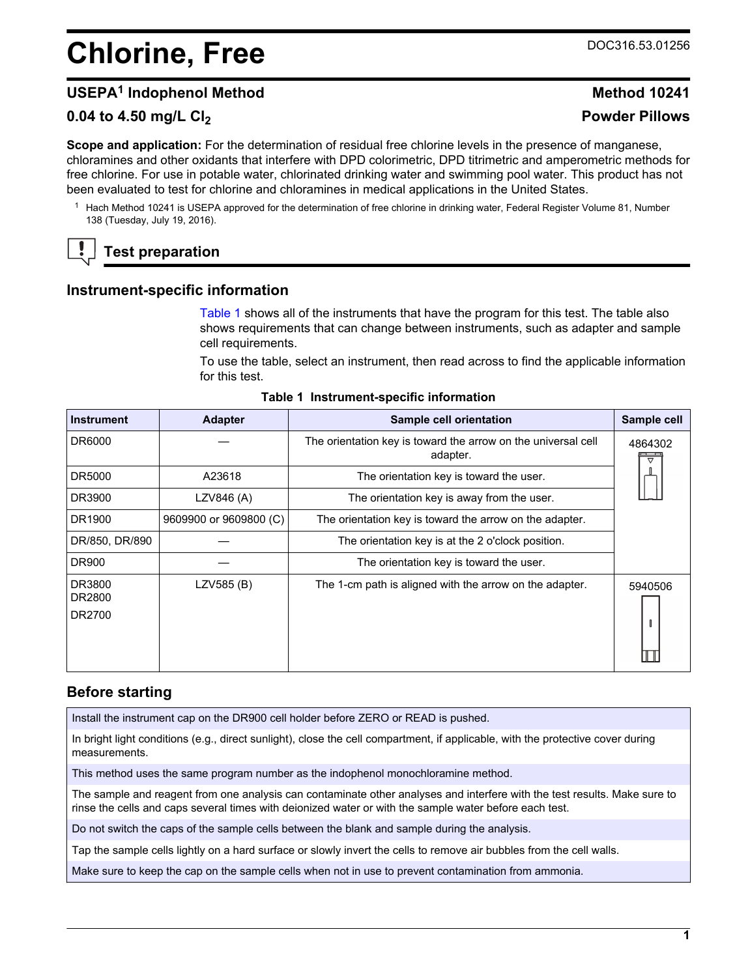# <span id="page-0-0"></span>**Chlorine, Free** DOC316.53.01256

# **USEPA<sup>1</sup> Indophenol Method Method 10241**

# **0.04 to 4.50 mg/L Cl<sup>2</sup> Powder Pillows**

**Scope and application:** For the determination of residual free chlorine levels in the presence of manganese, chloramines and other oxidants that interfere with DPD colorimetric, DPD titrimetric and amperometric methods for free chlorine. For use in potable water, chlorinated drinking water and swimming pool water. This product has not been evaluated to test for chlorine and chloramines in medical applications in the United States.

<sup>1</sup> Hach Method 10241 is USEPA approved for the determination of free chlorine in drinking water, Federal Register Volume 81, Number 138 (Tuesday, July 19, 2016).

# **Test preparation**

## **Instrument-specific information**

Table 1 shows all of the instruments that have the program for this test. The table also shows requirements that can change between instruments, such as adapter and sample cell requirements.

To use the table, select an instrument, then read across to find the applicable information for this test.

| <b>Instrument</b>          | <b>Adapter</b>         | Sample cell orientation                                                   | Sample cell                    |
|----------------------------|------------------------|---------------------------------------------------------------------------|--------------------------------|
| DR6000                     |                        | The orientation key is toward the arrow on the universal cell<br>adapter. | 4864302<br>$\overline{\nabla}$ |
| DR5000                     | A23618                 | The orientation key is toward the user.                                   |                                |
| DR3900                     | LZV846 (A)             | The orientation key is away from the user.                                |                                |
| DR1900                     | 9609900 or 9609800 (C) | The orientation key is toward the arrow on the adapter.                   |                                |
| DR/850, DR/890             |                        | The orientation key is at the 2 o'clock position.                         |                                |
| <b>DR900</b>               |                        | The orientation key is toward the user.                                   |                                |
| DR3800<br>DR2800<br>DR2700 | LZV585 (B)             | The 1-cm path is aligned with the arrow on the adapter.                   | 5940506                        |

#### **Table 1 Instrument-specific information**

## **Before starting**

Install the instrument cap on the DR900 cell holder before ZERO or READ is pushed.

In bright light conditions (e.g., direct sunlight), close the cell compartment, if applicable, with the protective cover during measurements.

This method uses the same program number as the indophenol monochloramine method.

The sample and reagent from one analysis can contaminate other analyses and interfere with the test results. Make sure to rinse the cells and caps several times with deionized water or with the sample water before each test.

Do not switch the caps of the sample cells between the blank and sample during the analysis.

Tap the sample cells lightly on a hard surface or slowly invert the cells to remove air bubbles from the cell walls.

Make sure to keep the cap on the sample cells when not in use to prevent contamination from ammonia.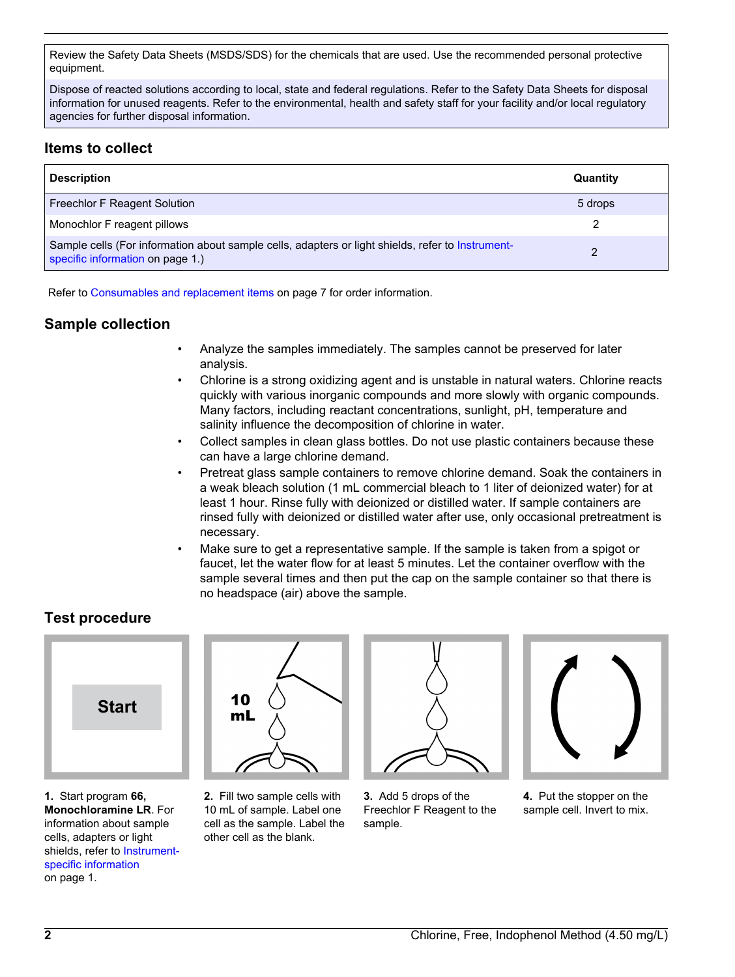Review the Safety Data Sheets (MSDS/SDS) for the chemicals that are used. Use the recommended personal protective equipment.

Dispose of reacted solutions according to local, state and federal regulations. Refer to the Safety Data Sheets for disposal information for unused reagents. Refer to the environmental, health and safety staff for your facility and/or local regulatory agencies for further disposal information.

# **Items to collect**

| <b>Description</b>                                                                                                                    | Quantity |
|---------------------------------------------------------------------------------------------------------------------------------------|----------|
| Freechlor F Reagent Solution                                                                                                          | 5 drops  |
| Monochlor F reagent pillows                                                                                                           |          |
| Sample cells (For information about sample cells, adapters or light shields, refer to Instrument-<br>specific information on page 1.) |          |

Refer to [Consumables and replacement items](#page-6-0) on page 7 for order information.

# **Sample collection**

- Analyze the samples immediately. The samples cannot be preserved for later analysis.
- Chlorine is a strong oxidizing agent and is unstable in natural waters. Chlorine reacts quickly with various inorganic compounds and more slowly with organic compounds. Many factors, including reactant concentrations, sunlight, pH, temperature and salinity influence the decomposition of chlorine in water.
- Collect samples in clean glass bottles. Do not use plastic containers because these can have a large chlorine demand.
- Pretreat glass sample containers to remove chlorine demand. Soak the containers in a weak bleach solution (1 mL commercial bleach to 1 liter of deionized water) for at least 1 hour. Rinse fully with deionized or distilled water. If sample containers are rinsed fully with deionized or distilled water after use, only occasional pretreatment is necessary.
- Make sure to get a representative sample. If the sample is taken from a spigot or faucet, let the water flow for at least 5 minutes. Let the container overflow with the sample several times and then put the cap on the sample container so that there is no headspace (air) above the sample.

# **Test procedure**



**1.** Start program **66, Monochloramine LR**. For information about sample cells, adapters or light shields, refer to [Instrument](#page-0-0)[specific information](#page-0-0) on page 1.



**2.** Fill two sample cells with 10 mL of sample. Label one cell as the sample. Label the other cell as the blank.



**3.** Add 5 drops of the Freechlor F Reagent to the sample.



**4.** Put the stopper on the sample cell. Invert to mix.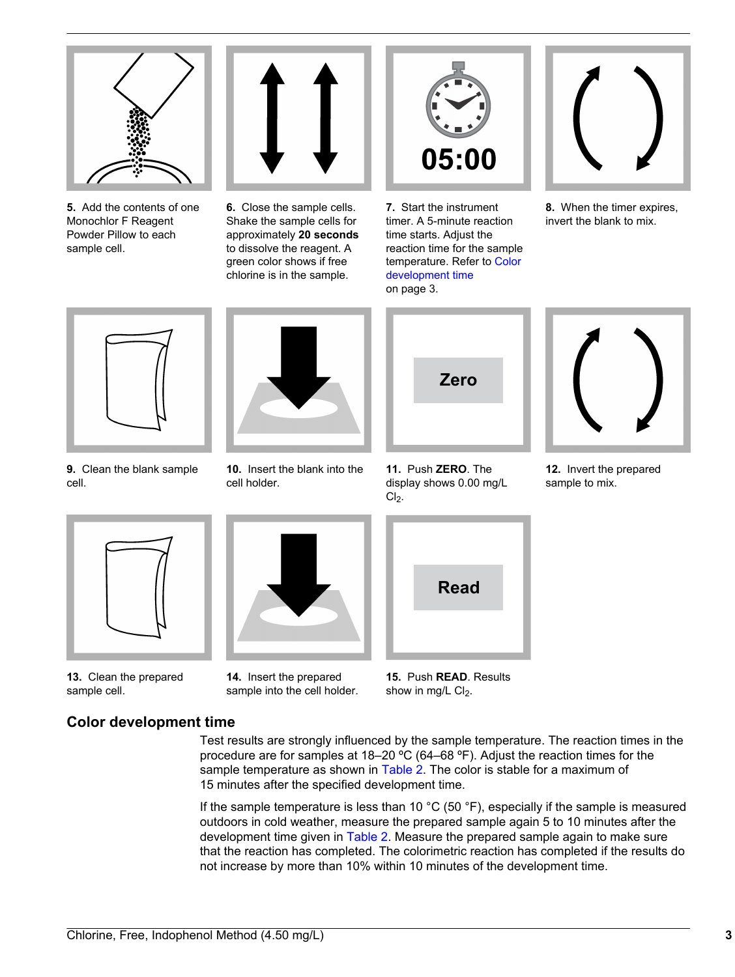

**5.** Add the contents of one Monochlor F Reagent Powder Pillow to each sample cell.



**6.** Close the sample cells. Shake the sample cells for approximately **20 seconds** to dissolve the reagent. A green color shows if free chlorine is in the sample.



**7.** Start the instrument timer. A 5-minute reaction time starts. Adjust the reaction time for the sample temperature. Refer to Color development time on page 3.



**8.** When the timer expires, invert the blank to mix.



**9.** Clean the blank sample cell.



**10.** Insert the blank into the cell holder.



**11.** Push **ZERO**. The display shows 0.00 mg/L  $Cl<sub>2</sub>$ .



**12.** Invert the prepared sample to mix.



**13.** Clean the prepared sample cell.



**14.** Insert the prepared sample into the cell holder.

**15.** Push **READ**. Results show in mg/L  $Cl<sub>2</sub>$ .

# **Color development time**

Test results are strongly influenced by the sample temperature. The reaction times in the procedure are for samples at 18–20 ºC (64–68 ºF). Adjust the reaction times for the sample temperature as shown in [Table 2.](#page-3-0) The color is stable for a maximum of 15 minutes after the specified development time.

If the sample temperature is less than 10  $^{\circ}$ C (50  $^{\circ}$ F), especially if the sample is measured outdoors in cold weather, measure the prepared sample again 5 to 10 minutes after the development time given in [Table 2](#page-3-0). Measure the prepared sample again to make sure that the reaction has completed. The colorimetric reaction has completed if the results do not increase by more than 10% within 10 minutes of the development time.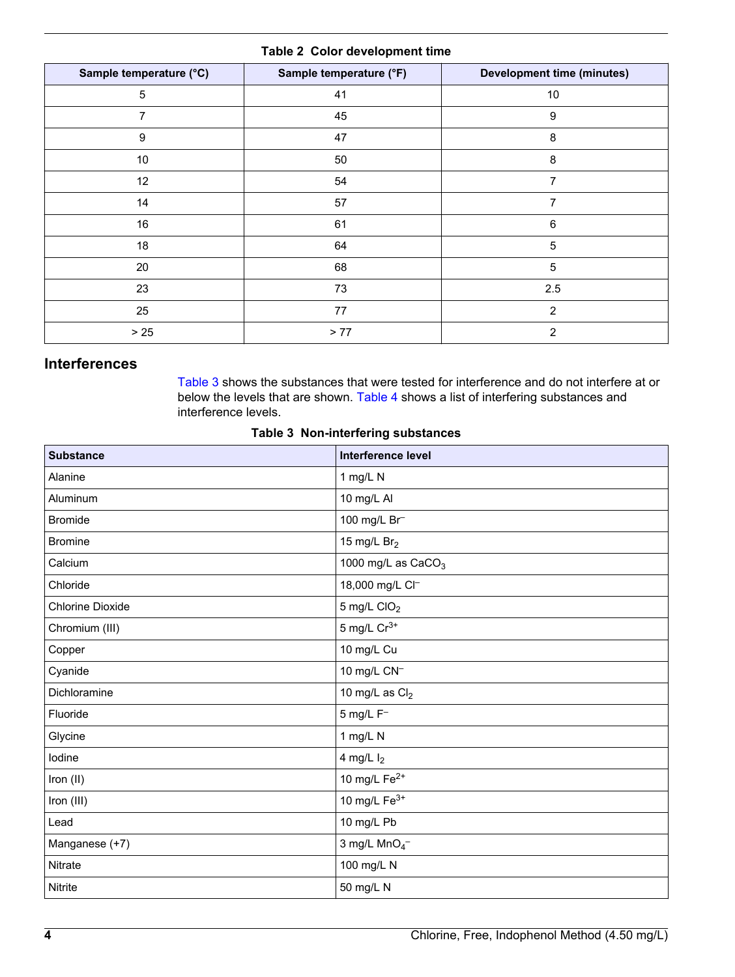## **Table 2 Color development time**

<span id="page-3-0"></span>

| Sample temperature (°C) | Sample temperature (°F) | <b>Development time (minutes)</b> |
|-------------------------|-------------------------|-----------------------------------|
| 5                       | 41                      | 10                                |
| 7                       | 45                      | 9                                 |
| 9                       | 47                      | 8                                 |
| 10                      | 50                      | 8                                 |
| 12                      | 54                      | 7                                 |
| 14                      | 57                      | 7                                 |
| 16                      | 61                      | 6                                 |
| 18                      | 64                      | $\sqrt{5}$                        |
| 20                      | 68                      | $\sqrt{5}$                        |
| 23                      | 73                      | 2.5                               |
| 25                      | 77                      | 2                                 |
| $>25$                   | > 77                    | $\overline{2}$                    |

# **Interferences**

Table 3 shows the substances that were tested for interference and do not interfere at or below the levels that are shown. [Table 4](#page-4-0) shows a list of interfering substances and interference levels.

#### **Table 3 Non-interfering substances**

| <b>Substance</b>        | Interference level         |
|-------------------------|----------------------------|
| Alanine                 | 1 mg/L N                   |
| Aluminum                | 10 mg/L Al                 |
| <b>Bromide</b>          | 100 mg/L Br                |
| <b>Bromine</b>          | 15 mg/L Br <sub>2</sub>    |
| Calcium                 | 1000 mg/L as $CaCO3$       |
| Chloride                | 18,000 mg/L Cl-            |
| <b>Chlorine Dioxide</b> | $5$ mg/L CIO <sub>2</sub>  |
| Chromium (III)          | 5 mg/L $Cr^{3+}$           |
| Copper                  | 10 mg/L Cu                 |
| Cyanide                 | 10 mg/L CN <sup>-1</sup>   |
| Dichloramine            | 10 mg/L as $Cl2$           |
| Fluoride                | $5$ mg/L $F^-$             |
| Glycine                 | 1 mg/L N                   |
| lodine                  | 4 mg/L $I_2$               |
| Iron (II)               | 10 mg/L Fe <sup>2+</sup>   |
| Iron (III)              | 10 mg/L $Fe3+$             |
| Lead                    | 10 mg/L Pb                 |
| Manganese (+7)          | 3 mg/L $MnO4$ <sup>-</sup> |
| Nitrate                 | 100 mg/L N                 |
| Nitrite                 | 50 mg/L N                  |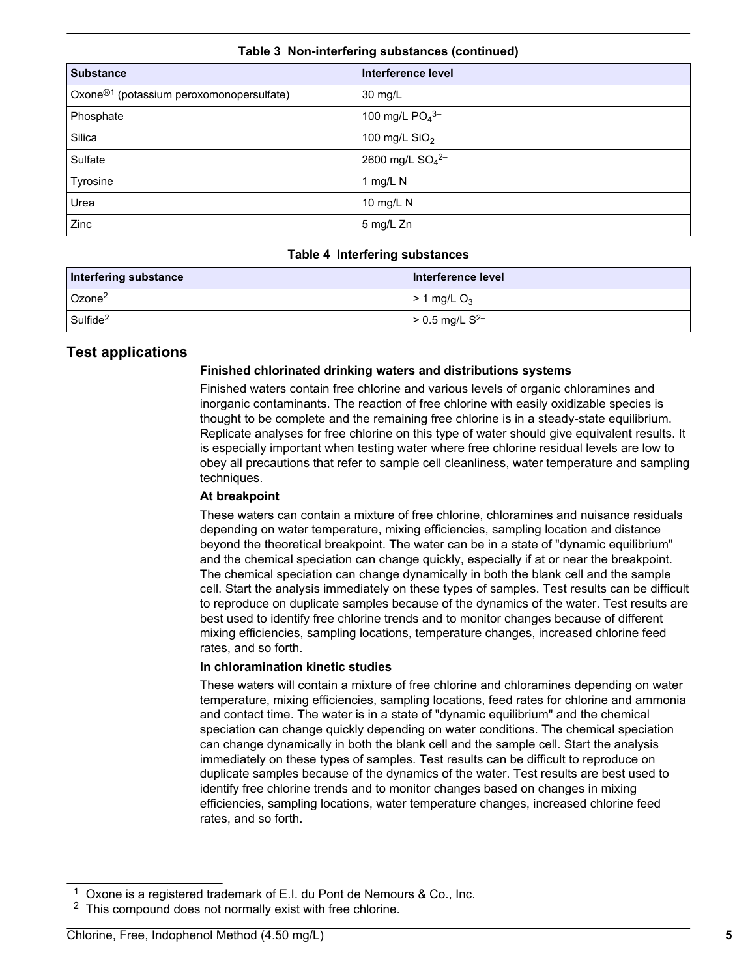<span id="page-4-0"></span>

| <b>Substance</b>                                     | Interference level                      |  |
|------------------------------------------------------|-----------------------------------------|--|
| Oxone <sup>®1</sup> (potassium peroxomonopersulfate) | 30 mg/L                                 |  |
| Phosphate                                            | 100 mg/L $PO4$ <sup>3-</sup>            |  |
| Silica                                               | 100 mg/L $SiO2$                         |  |
| Sulfate                                              | 2600 mg/L SO <sub>4</sub> <sup>2-</sup> |  |
| Tyrosine                                             | 1 mg/L N                                |  |
| Urea                                                 | 10 mg/L N                               |  |
| Zinc                                                 | 5 mg/L Zn                               |  |

#### **Table 3 Non-interfering substances (continued)**

#### **Table 4 Interfering substances**

| Interfering substance | Interference level        |
|-----------------------|---------------------------|
| Ozone <sup>2</sup>    | $> 1$ mg/L O <sub>3</sub> |
| Sulfide <sup>2</sup>  | > 0.5 mg/L $S^{2-}$       |

## **Test applications**

## **Finished chlorinated drinking waters and distributions systems**

Finished waters contain free chlorine and various levels of organic chloramines and inorganic contaminants. The reaction of free chlorine with easily oxidizable species is thought to be complete and the remaining free chlorine is in a steady-state equilibrium. Replicate analyses for free chlorine on this type of water should give equivalent results. It is especially important when testing water where free chlorine residual levels are low to obey all precautions that refer to sample cell cleanliness, water temperature and sampling techniques.

## **At breakpoint**

These waters can contain a mixture of free chlorine, chloramines and nuisance residuals depending on water temperature, mixing efficiencies, sampling location and distance beyond the theoretical breakpoint. The water can be in a state of "dynamic equilibrium" and the chemical speciation can change quickly, especially if at or near the breakpoint. The chemical speciation can change dynamically in both the blank cell and the sample cell. Start the analysis immediately on these types of samples. Test results can be difficult to reproduce on duplicate samples because of the dynamics of the water. Test results are best used to identify free chlorine trends and to monitor changes because of different mixing efficiencies, sampling locations, temperature changes, increased chlorine feed rates, and so forth.

#### **In chloramination kinetic studies**

These waters will contain a mixture of free chlorine and chloramines depending on water temperature, mixing efficiencies, sampling locations, feed rates for chlorine and ammonia and contact time. The water is in a state of "dynamic equilibrium" and the chemical speciation can change quickly depending on water conditions. The chemical speciation can change dynamically in both the blank cell and the sample cell. Start the analysis immediately on these types of samples. Test results can be difficult to reproduce on duplicate samples because of the dynamics of the water. Test results are best used to identify free chlorine trends and to monitor changes based on changes in mixing efficiencies, sampling locations, water temperature changes, increased chlorine feed rates, and so forth.

<sup>&</sup>lt;sup>1</sup> Oxone is a registered trademark of E.I. du Pont de Nemours & Co., Inc.

<sup>&</sup>lt;sup>2</sup> This compound does not normally exist with free chlorine.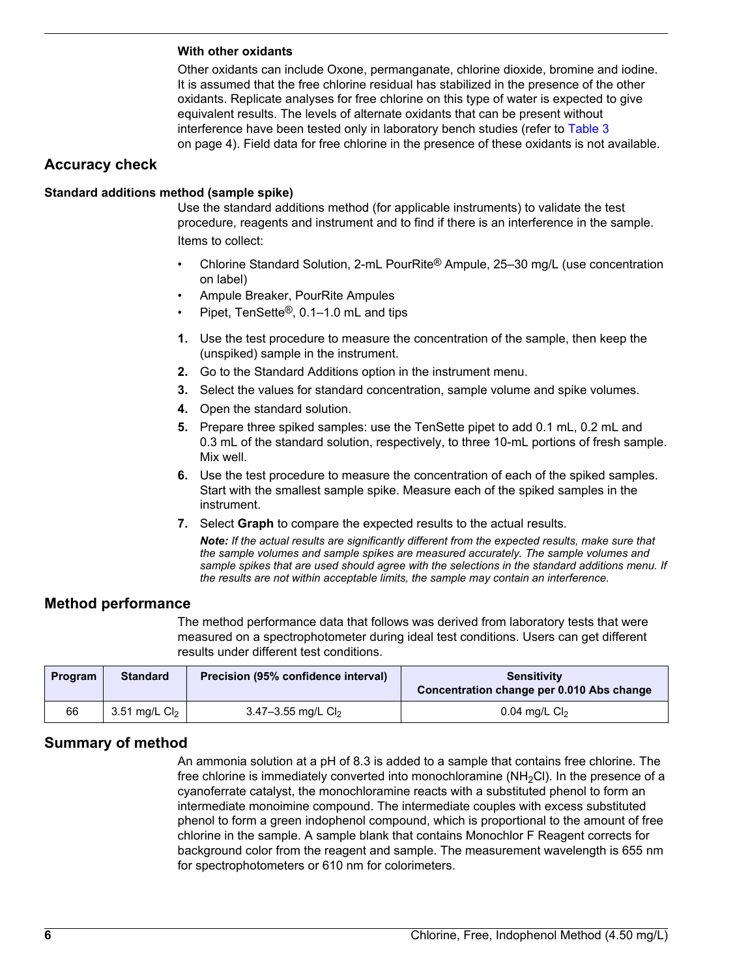#### **With other oxidants**

Other oxidants can include Oxone, permanganate, chlorine dioxide, bromine and iodine. It is assumed that the free chlorine residual has stabilized in the presence of the other oxidants. Replicate analyses for free chlorine on this type of water is expected to give equivalent results. The levels of alternate oxidants that can be present without interference have been tested only in laboratory bench studies (refer to [Table 3](#page-3-0) on page 4). Field data for free chlorine in the presence of these oxidants is not available.

## **Accuracy check**

#### **Standard additions method (sample spike)**

Use the standard additions method (for applicable instruments) to validate the test procedure, reagents and instrument and to find if there is an interference in the sample. Items to collect:

- Chlorine Standard Solution, 2-mL PourRite® Ampule, 25–30 mg/L (use concentration on label)
- Ampule Breaker, PourRite Ampules
- Pipet, TenSette®, 0.1–1.0 mL and tips
- **1.** Use the test procedure to measure the concentration of the sample, then keep the (unspiked) sample in the instrument.
- **2.** Go to the Standard Additions option in the instrument menu.
- **3.** Select the values for standard concentration, sample volume and spike volumes.
- **4.** Open the standard solution.
- **5.** Prepare three spiked samples: use the TenSette pipet to add 0.1 mL, 0.2 mL and 0.3 mL of the standard solution, respectively, to three 10-mL portions of fresh sample. Mix well.
- **6.** Use the test procedure to measure the concentration of each of the spiked samples. Start with the smallest sample spike. Measure each of the spiked samples in the instrument.
- **7.** Select **Graph** to compare the expected results to the actual results.

*Note: If the actual results are significantly different from the expected results, make sure that the sample volumes and sample spikes are measured accurately. The sample volumes and sample spikes that are used should agree with the selections in the standard additions menu. If the results are not within acceptable limits, the sample may contain an interference.*

## **Method performance**

The method performance data that follows was derived from laboratory tests that were measured on a spectrophotometer during ideal test conditions. Users can get different results under different test conditions.

| <b>Program</b> | <b>Standard</b> | Precision (95% confidence interval) | Sensitivity<br>Concentration change per 0.010 Abs change |
|----------------|-----------------|-------------------------------------|----------------------------------------------------------|
| 66             | 3.51 mg/L $Cl2$ | 3.47-3.55 mg/L $Cl2$                | 0.04 mg/L $Cl2$                                          |

## **Summary of method**

An ammonia solution at a pH of 8.3 is added to a sample that contains free chlorine. The free chlorine is immediately converted into monochloramine  $(NH<sub>2</sub>Cl)$ . In the presence of a cyanoferrate catalyst, the monochloramine reacts with a substituted phenol to form an intermediate monoimine compound. The intermediate couples with excess substituted phenol to form a green indophenol compound, which is proportional to the amount of free chlorine in the sample. A sample blank that contains Monochlor F Reagent corrects for background color from the reagent and sample. The measurement wavelength is 655 nm for spectrophotometers or 610 nm for colorimeters.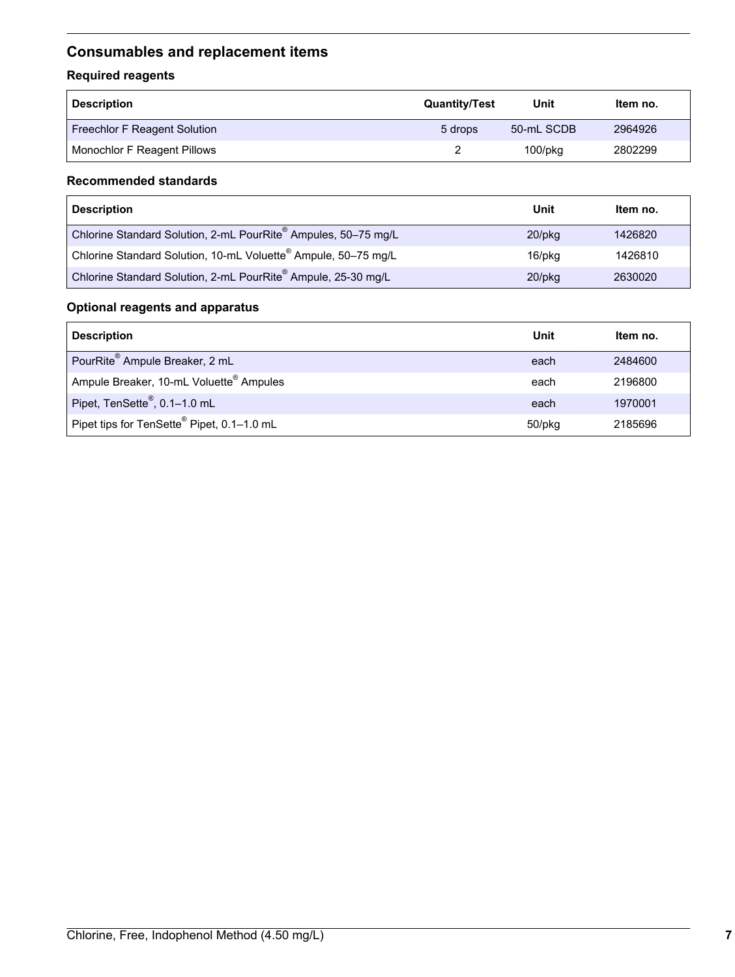# <span id="page-6-0"></span>**Consumables and replacement items**

# **Required reagents**

| <b>Description</b>                  | <b>Quantity/Test</b> | Unit          | Item no. |
|-------------------------------------|----------------------|---------------|----------|
| <b>Freechlor F Reagent Solution</b> | 5 drops              | 50-mL SCDB    | 2964926  |
| Monochlor F Reagent Pillows         |                      | $100$ /p $kg$ | 2802299  |

## **Recommended standards**

| <b>Description</b>                                                         | Unit      | Item no. |
|----------------------------------------------------------------------------|-----------|----------|
| Chlorine Standard Solution, 2-mL PourRite® Ampules, 50-75 mg/L             | $20$ /pkq | 1426820  |
| Chlorine Standard Solution, 10-mL Voluette <sup>®</sup> Ampule, 50-75 mg/L | 16/pkg    | 1426810  |
| Chlorine Standard Solution, 2-mL PourRite® Ampule, 25-30 mg/L              | $20$ /pkq | 2630020  |

## **Optional reagents and apparatus**

| <b>Description</b>                                  | Unit   | Item no. |
|-----------------------------------------------------|--------|----------|
| PourRite® Ampule Breaker, 2 mL                      | each   | 2484600  |
| Ampule Breaker, 10-mL Voluette <sup>®</sup> Ampules | each   | 2196800  |
| Pipet, TenSette <sup>®</sup> , 0.1-1.0 mL           | each   | 1970001  |
| Pipet tips for TenSette® Pipet, 0.1-1.0 mL          | 50/pkg | 2185696  |